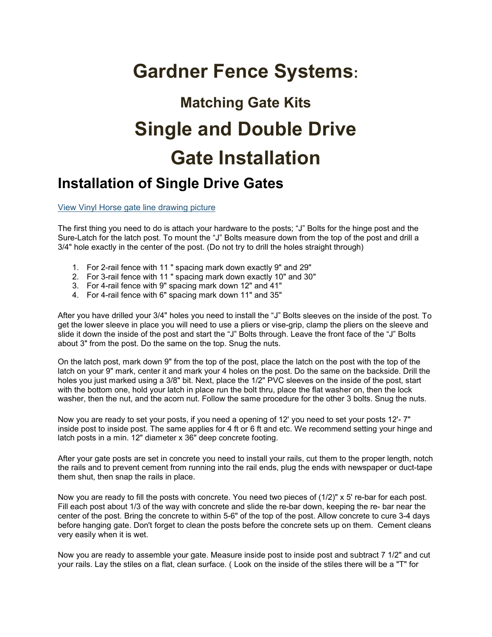## **Gardner Fence Systems:**

## **Matching Gate Kits Single and Double Drive Gate Installation**

## **Installation of Single Drive Gates**

View Vinyl Horse gate line drawing picture

The first thing you need to do is attach your hardware to the posts; "J" Bolts for the hinge post and the Sure-Latch for the latch post. To mount the "J" Bolts measure down from the top of the post and drill a 3/4" hole exactly in the center of the post. (Do not try to drill the holes straight through)

- 1. For 2-rail fence with 11 " spacing mark down exactly 9" and 29"
- 2. For 3-rail fence with 11 " spacing mark down exactly 10" and 30"
- 3. For 4-rail fence with 9" spacing mark down 12" and 41"
- 4. For 4-rail fence with 6" spacing mark down 11" and 35"

After you have drilled your 3/4" holes you need to install the "J" Bolts sleeves on the inside of the post. To get the lower sleeve in place you will need to use a pliers or vise-grip, clamp the pliers on the sleeve and slide it down the inside of the post and start the "J" Bolts through. Leave the front face of the "J" Bolts about 3" from the post. Do the same on the top. Snug the nuts.

On the latch post, mark down 9" from the top of the post, place the latch on the post with the top of the latch on your 9" mark, center it and mark your 4 holes on the post. Do the same on the backside. Drill the holes you just marked using a 3/8" bit. Next, place the 1/2" PVC sleeves on the inside of the post, start with the bottom one, hold your latch in place run the bolt thru, place the flat washer on, then the lock washer, then the nut, and the acorn nut. Follow the same procedure for the other 3 bolts. Snug the nuts.

Now you are ready to set your posts, if you need a opening of 12' you need to set your posts 12'- 7" inside post to inside post. The same applies for 4 ft or 6 ft and etc. We recommend setting your hinge and latch posts in a min. 12" diameter x 36" deep concrete footing.

After your gate posts are set in concrete you need to install your rails, cut them to the proper length, notch the rails and to prevent cement from running into the rail ends, plug the ends with newspaper or duct-tape them shut, then snap the rails in place.

Now you are ready to fill the posts with concrete. You need two pieces of (1/2)" x 5' re-bar for each post. Fill each post about 1/3 of the way with concrete and slide the re-bar down, keeping the re- bar near the center of the post. Bring the concrete to within 5-6" of the top of the post. Allow concrete to cure 3-4 days before hanging gate. Don't forget to clean the posts before the concrete sets up on them. Cement cleans very easily when it is wet.

Now you are ready to assemble your gate. Measure inside post to inside post and subtract 7 1/2" and cut your rails. Lay the stiles on a flat, clean surface. ( Look on the inside of the stiles there will be a "T" for